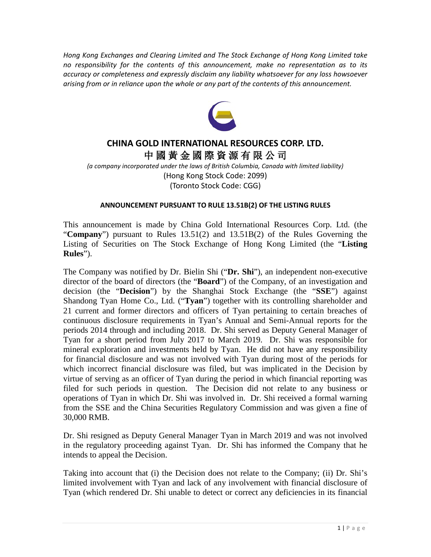*Hong Kong Exchanges and Clearing Limited and The Stock Exchange of Hong Kong Limited take no responsibility for the contents of this announcement, make no representation as to its accuracy or completeness and expressly disclaim any liability whatsoever for any loss howsoever arising from or in reliance upon the whole or any part of the contents of this announcement.*



## **CHINA GOLD INTERNATIONAL RESOURCES CORP. LTD.** 中 國 黃 金 國 際 資 源 有 限 公 司

*(a company incorporated under the laws of British Columbia, Canada with limited liability)* (Hong Kong Stock Code: 2099) (Toronto Stock Code: CGG)

## **ANNOUNCEMENT PURSUANT TO RULE 13.51B(2) OF THE LISTING RULES**

This announcement is made by China Gold International Resources Corp. Ltd. (the "**Company**") pursuant to Rules 13.51(2) and 13.51B(2) of the Rules Governing the Listing of Securities on The Stock Exchange of Hong Kong Limited (the "**Listing Rules**").

The Company was notified by Dr. Bielin Shi ("**Dr. Shi**"), an independent non-executive director of the board of directors (the "**Board**") of the Company, of an investigation and decision (the "**Decision**") by the Shanghai Stock Exchange (the "**SSE**") against Shandong Tyan Home Co., Ltd. ("**Tyan**") together with its controlling shareholder and 21 current and former directors and officers of Tyan pertaining to certain breaches of continuous disclosure requirements in Tyan's Annual and Semi-Annual reports for the periods 2014 through and including 2018. Dr. Shi served as Deputy General Manager of Tyan for a short period from July 2017 to March 2019. Dr. Shi was responsible for mineral exploration and investments held by Tyan. He did not have any responsibility for financial disclosure and was not involved with Tyan during most of the periods for which incorrect financial disclosure was filed, but was implicated in the Decision by virtue of serving as an officer of Tyan during the period in which financial reporting was filed for such periods in question. The Decision did not relate to any business or operations of Tyan in which Dr. Shi was involved in. Dr. Shi received a formal warning from the SSE and the China Securities Regulatory Commission and was given a fine of 30,000 RMB.

Dr. Shi resigned as Deputy General Manager Tyan in March 2019 and was not involved in the regulatory proceeding against Tyan. Dr. Shi has informed the Company that he intends to appeal the Decision.

Taking into account that (i) the Decision does not relate to the Company; (ii) Dr. Shi's limited involvement with Tyan and lack of any involvement with financial disclosure of Tyan (which rendered Dr. Shi unable to detect or correct any deficiencies in its financial